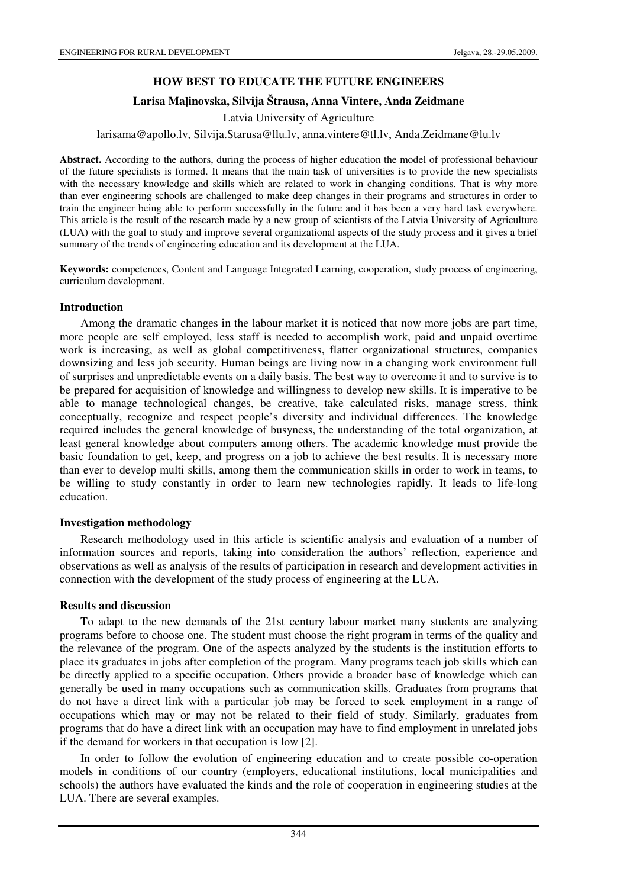# **HOW BEST TO EDUCATE THE FUTURE ENGINEERS**

### **Larisa Ma**ļ**inovska, Silvija Štrausa, Anna Vintere, Anda Zeidmane**

Latvia University of Agriculture

#### larisama@apollo.lv, Silvija.Starusa@llu.lv, anna.vintere@tl.lv, Anda.Zeidmane@lu.lv

**Abstract.** According to the authors, during the process of higher education the model of professional behaviour of the future specialists is formed. It means that the main task of universities is to provide the new specialists with the necessary knowledge and skills which are related to work in changing conditions. That is why more than ever engineering schools are challenged to make deep changes in their programs and structures in order to train the engineer being able to perform successfully in the future and it has been a very hard task everywhere. This article is the result of the research made by a new group of scientists of the Latvia University of Agriculture (LUA) with the goal to study and improve several organizational aspects of the study process and it gives a brief summary of the trends of engineering education and its development at the LUA.

**Keywords:** competences, Content and Language Integrated Learning, cooperation, study process of engineering, curriculum development.

### **Introduction**

Among the dramatic changes in the labour market it is noticed that now more jobs are part time, more people are self employed, less staff is needed to accomplish work, paid and unpaid overtime work is increasing, as well as global competitiveness, flatter organizational structures, companies downsizing and less job security. Human beings are living now in a changing work environment full of surprises and unpredictable events on a daily basis. The best way to overcome it and to survive is to be prepared for acquisition of knowledge and willingness to develop new skills. It is imperative to be able to manage technological changes, be creative, take calculated risks, manage stress, think conceptually, recognize and respect people's diversity and individual differences. The knowledge required includes the general knowledge of busyness, the understanding of the total organization, at least general knowledge about computers among others. The academic knowledge must provide the basic foundation to get, keep, and progress on a job to achieve the best results. It is necessary more than ever to develop multi skills, among them the communication skills in order to work in teams, to be willing to study constantly in order to learn new technologies rapidly. It leads to life-long education.

### **Investigation methodology**

Research methodology used in this article is scientific analysis and evaluation of a number of information sources and reports, taking into consideration the authors' reflection, experience and observations as well as analysis of the results of participation in research and development activities in connection with the development of the study process of engineering at the LUA.

### **Results and discussion**

To adapt to the new demands of the 21st century labour market many students are analyzing programs before to choose one. The student must choose the right program in terms of the quality and the relevance of the program. One of the aspects analyzed by the students is the institution efforts to place its graduates in jobs after completion of the program. Many programs teach job skills which can be directly applied to a specific occupation. Others provide a broader base of knowledge which can generally be used in many occupations such as communication skills. Graduates from programs that do not have a direct link with a particular job may be forced to seek employment in a range of occupations which may or may not be related to their field of study. Similarly, graduates from programs that do have a direct link with an occupation may have to find employment in unrelated jobs if the demand for workers in that occupation is low [2].

In order to follow the evolution of engineering education and to create possible co-operation models in conditions of our country (employers, educational institutions, local municipalities and schools) the authors have evaluated the kinds and the role of cooperation in engineering studies at the LUA. There are several examples.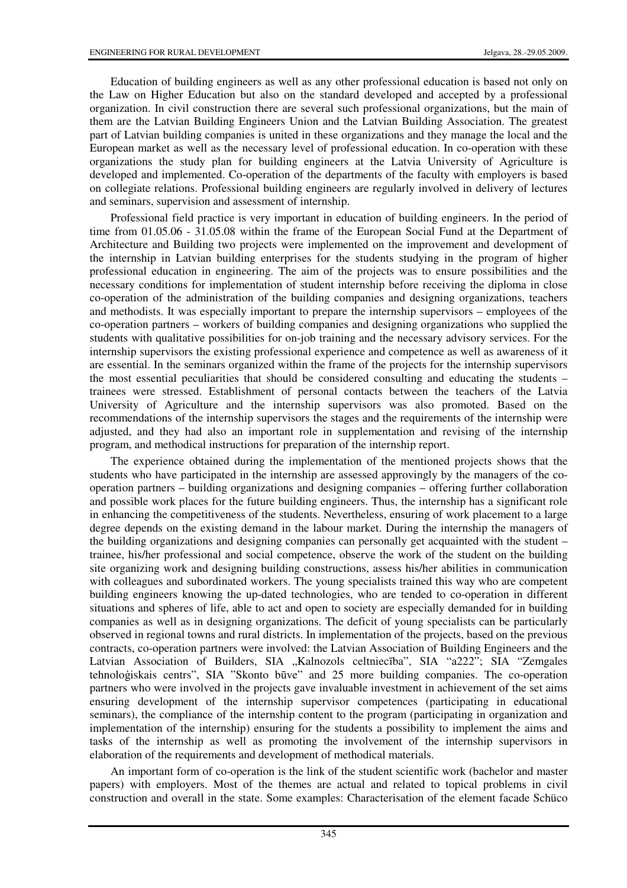Education of building engineers as well as any other professional education is based not only on the Law on Higher Education but also on the standard developed and accepted by a professional organization. In civil construction there are several such professional organizations, but the main of them are the Latvian Building Engineers Union and the Latvian Building Association. The greatest part of Latvian building companies is united in these organizations and they manage the local and the European market as well as the necessary level of professional education. In co-operation with these organizations the study plan for building engineers at the Latvia University of Agriculture is developed and implemented. Co-operation of the departments of the faculty with employers is based on collegiate relations. Professional building engineers are regularly involved in delivery of lectures and seminars, supervision and assessment of internship.

Professional field practice is very important in education of building engineers. In the period of time from 01.05.06 - 31.05.08 within the frame of the European Social Fund at the Department of Architecture and Building two projects were implemented on the improvement and development of the internship in Latvian building enterprises for the students studying in the program of higher professional education in engineering. The aim of the projects was to ensure possibilities and the necessary conditions for implementation of student internship before receiving the diploma in close co-operation of the administration of the building companies and designing organizations, teachers and methodists. It was especially important to prepare the internship supervisors – employees of the co-operation partners – workers of building companies and designing organizations who supplied the students with qualitative possibilities for on-job training and the necessary advisory services. For the internship supervisors the existing professional experience and competence as well as awareness of it are essential. In the seminars organized within the frame of the projects for the internship supervisors the most essential peculiarities that should be considered consulting and educating the students – trainees were stressed. Establishment of personal contacts between the teachers of the Latvia University of Agriculture and the internship supervisors was also promoted. Based on the recommendations of the internship supervisors the stages and the requirements of the internship were adjusted, and they had also an important role in supplementation and revising of the internship program, and methodical instructions for preparation of the internship report.

The experience obtained during the implementation of the mentioned projects shows that the students who have participated in the internship are assessed approvingly by the managers of the cooperation partners – building organizations and designing companies – offering further collaboration and possible work places for the future building engineers. Thus, the internship has a significant role in enhancing the competitiveness of the students. Nevertheless, ensuring of work placement to a large degree depends on the existing demand in the labour market. During the internship the managers of the building organizations and designing companies can personally get acquainted with the student – trainee, his/her professional and social competence, observe the work of the student on the building site organizing work and designing building constructions, assess his/her abilities in communication with colleagues and subordinated workers. The young specialists trained this way who are competent building engineers knowing the up-dated technologies, who are tended to co-operation in different situations and spheres of life, able to act and open to society are especially demanded for in building companies as well as in designing organizations. The deficit of young specialists can be particularly observed in regional towns and rural districts. In implementation of the projects, based on the previous contracts, co-operation partners were involved: the Latvian Association of Building Engineers and the Latvian Association of Builders, SIA "Kalnozols celtniecība", SIA "a222"; SIA "Zemgales tehnoloģiskais centrs", SIA "Skonto būve" and 25 more building companies. The co-operation partners who were involved in the projects gave invaluable investment in achievement of the set aims ensuring development of the internship supervisor competences (participating in educational seminars), the compliance of the internship content to the program (participating in organization and implementation of the internship) ensuring for the students a possibility to implement the aims and tasks of the internship as well as promoting the involvement of the internship supervisors in elaboration of the requirements and development of methodical materials.

An important form of co-operation is the link of the student scientific work (bachelor and master papers) with employers. Most of the themes are actual and related to topical problems in civil construction and overall in the state. Some examples: Characterisation of the element facade Schüco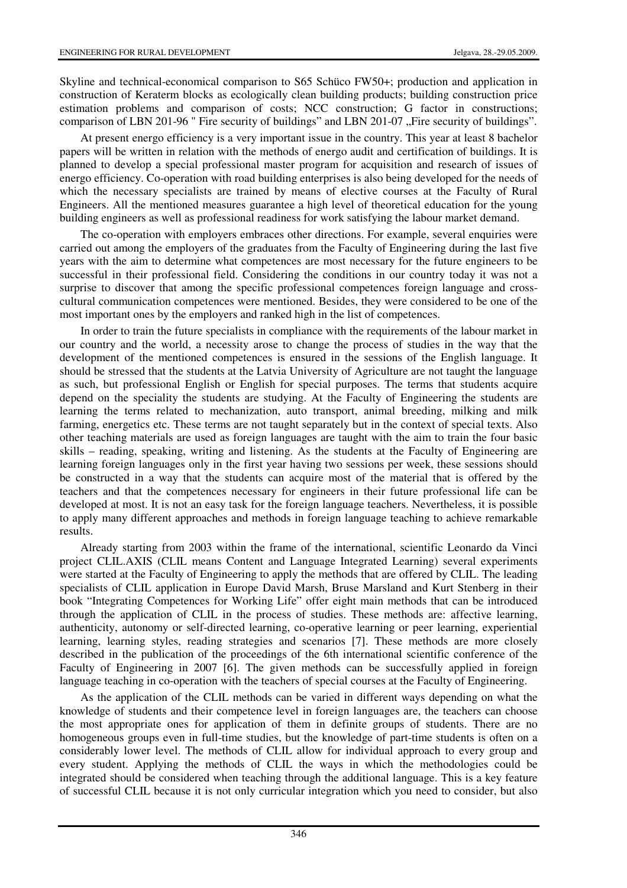Skyline and technical-economical comparison to S65 Schüco FW50+; production and application in construction of Keraterm blocks as ecologically clean building products; building construction price estimation problems and comparison of costs; NCC construction; G factor in constructions; comparison of LBN 201-96 " Fire security of buildings" and LBN 201-07 "Fire security of buildings".

At present energo efficiency is a very important issue in the country. This year at least 8 bachelor papers will be written in relation with the methods of energo audit and certification of buildings. It is planned to develop a special professional master program for acquisition and research of issues of energo efficiency. Co-operation with road building enterprises is also being developed for the needs of which the necessary specialists are trained by means of elective courses at the Faculty of Rural Engineers. All the mentioned measures guarantee a high level of theoretical education for the young building engineers as well as professional readiness for work satisfying the labour market demand.

The co-operation with employers embraces other directions. For example, several enquiries were carried out among the employers of the graduates from the Faculty of Engineering during the last five years with the aim to determine what competences are most necessary for the future engineers to be successful in their professional field. Considering the conditions in our country today it was not a surprise to discover that among the specific professional competences foreign language and crosscultural communication competences were mentioned. Besides, they were considered to be one of the most important ones by the employers and ranked high in the list of competences.

In order to train the future specialists in compliance with the requirements of the labour market in our country and the world, a necessity arose to change the process of studies in the way that the development of the mentioned competences is ensured in the sessions of the English language. It should be stressed that the students at the Latvia University of Agriculture are not taught the language as such, but professional English or English for special purposes. The terms that students acquire depend on the speciality the students are studying. At the Faculty of Engineering the students are learning the terms related to mechanization, auto transport, animal breeding, milking and milk farming, energetics etc. These terms are not taught separately but in the context of special texts. Also other teaching materials are used as foreign languages are taught with the aim to train the four basic skills – reading, speaking, writing and listening. As the students at the Faculty of Engineering are learning foreign languages only in the first year having two sessions per week, these sessions should be constructed in a way that the students can acquire most of the material that is offered by the teachers and that the competences necessary for engineers in their future professional life can be developed at most. It is not an easy task for the foreign language teachers. Nevertheless, it is possible to apply many different approaches and methods in foreign language teaching to achieve remarkable results.

Already starting from 2003 within the frame of the international, scientific Leonardo da Vinci project CLIL.AXIS (CLIL means Content and Language Integrated Learning) several experiments were started at the Faculty of Engineering to apply the methods that are offered by CLIL. The leading specialists of CLIL application in Europe David Marsh, Bruse Marsland and Kurt Stenberg in their book "Integrating Competences for Working Life" offer eight main methods that can be introduced through the application of CLIL in the process of studies. These methods are: affective learning, authenticity, autonomy or self-directed learning, co-operative learning or peer learning, experiential learning, learning styles, reading strategies and scenarios [7]. These methods are more closely described in the publication of the proceedings of the 6th international scientific conference of the Faculty of Engineering in 2007 [6]. The given methods can be successfully applied in foreign language teaching in co-operation with the teachers of special courses at the Faculty of Engineering.

As the application of the CLIL methods can be varied in different ways depending on what the knowledge of students and their competence level in foreign languages are, the teachers can choose the most appropriate ones for application of them in definite groups of students. There are no homogeneous groups even in full-time studies, but the knowledge of part-time students is often on a considerably lower level. The methods of CLIL allow for individual approach to every group and every student. Applying the methods of CLIL the ways in which the methodologies could be integrated should be considered when teaching through the additional language. This is a key feature of successful CLIL because it is not only curricular integration which you need to consider, but also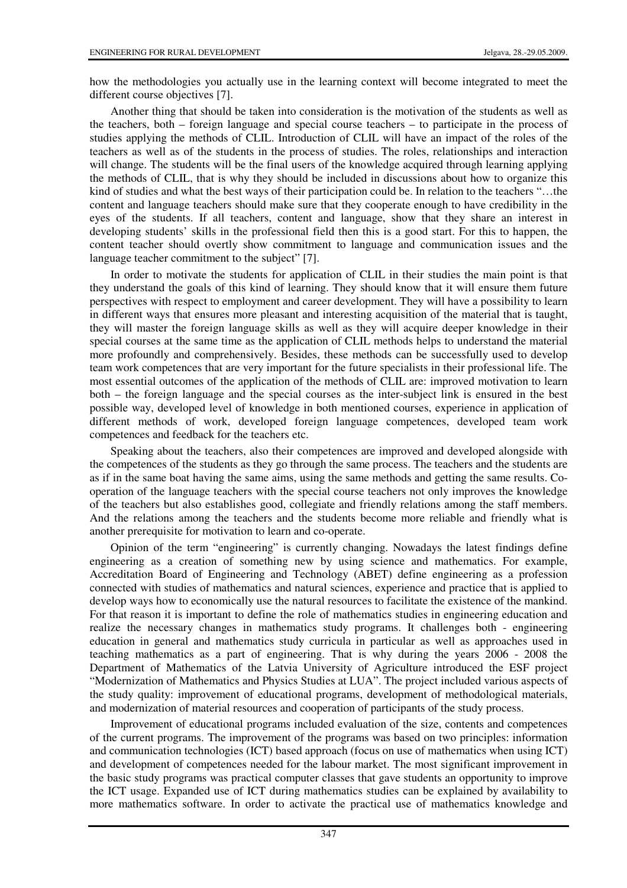how the methodologies you actually use in the learning context will become integrated to meet the different course objectives [7].

Another thing that should be taken into consideration is the motivation of the students as well as the teachers, both – foreign language and special course teachers – to participate in the process of studies applying the methods of CLIL. Introduction of CLIL will have an impact of the roles of the teachers as well as of the students in the process of studies. The roles, relationships and interaction will change. The students will be the final users of the knowledge acquired through learning applying the methods of CLIL, that is why they should be included in discussions about how to organize this kind of studies and what the best ways of their participation could be. In relation to the teachers "...the content and language teachers should make sure that they cooperate enough to have credibility in the eyes of the students. If all teachers, content and language, show that they share an interest in developing students' skills in the professional field then this is a good start. For this to happen, the content teacher should overtly show commitment to language and communication issues and the language teacher commitment to the subject" [7].

In order to motivate the students for application of CLIL in their studies the main point is that they understand the goals of this kind of learning. They should know that it will ensure them future perspectives with respect to employment and career development. They will have a possibility to learn in different ways that ensures more pleasant and interesting acquisition of the material that is taught, they will master the foreign language skills as well as they will acquire deeper knowledge in their special courses at the same time as the application of CLIL methods helps to understand the material more profoundly and comprehensively. Besides, these methods can be successfully used to develop team work competences that are very important for the future specialists in their professional life. The most essential outcomes of the application of the methods of CLIL are: improved motivation to learn both – the foreign language and the special courses as the inter-subject link is ensured in the best possible way, developed level of knowledge in both mentioned courses, experience in application of different methods of work, developed foreign language competences, developed team work competences and feedback for the teachers etc.

Speaking about the teachers, also their competences are improved and developed alongside with the competences of the students as they go through the same process. The teachers and the students are as if in the same boat having the same aims, using the same methods and getting the same results. Cooperation of the language teachers with the special course teachers not only improves the knowledge of the teachers but also establishes good, collegiate and friendly relations among the staff members. And the relations among the teachers and the students become more reliable and friendly what is another prerequisite for motivation to learn and co-operate.

Opinion of the term "engineering" is currently changing. Nowadays the latest findings define engineering as a creation of something new by using science and mathematics. For example, Accreditation Board of Engineering and Technology (ABET) define engineering as a profession connected with studies of mathematics and natural sciences, experience and practice that is applied to develop ways how to economically use the natural resources to facilitate the existence of the mankind. For that reason it is important to define the role of mathematics studies in engineering education and realize the necessary changes in mathematics study programs. It challenges both - engineering education in general and mathematics study curricula in particular as well as approaches used in teaching mathematics as a part of engineering. That is why during the years 2006 - 2008 the Department of Mathematics of the Latvia University of Agriculture introduced the ESF project "Modernization of Mathematics and Physics Studies at LUA". The project included various aspects of the study quality: improvement of educational programs, development of methodological materials, and modernization of material resources and cooperation of participants of the study process.

Improvement of educational programs included evaluation of the size, contents and competences of the current programs. The improvement of the programs was based on two principles: information and communication technologies (ICT) based approach (focus on use of mathematics when using ICT) and development of competences needed for the labour market. The most significant improvement in the basic study programs was practical computer classes that gave students an opportunity to improve the ICT usage. Expanded use of ICT during mathematics studies can be explained by availability to more mathematics software. In order to activate the practical use of mathematics knowledge and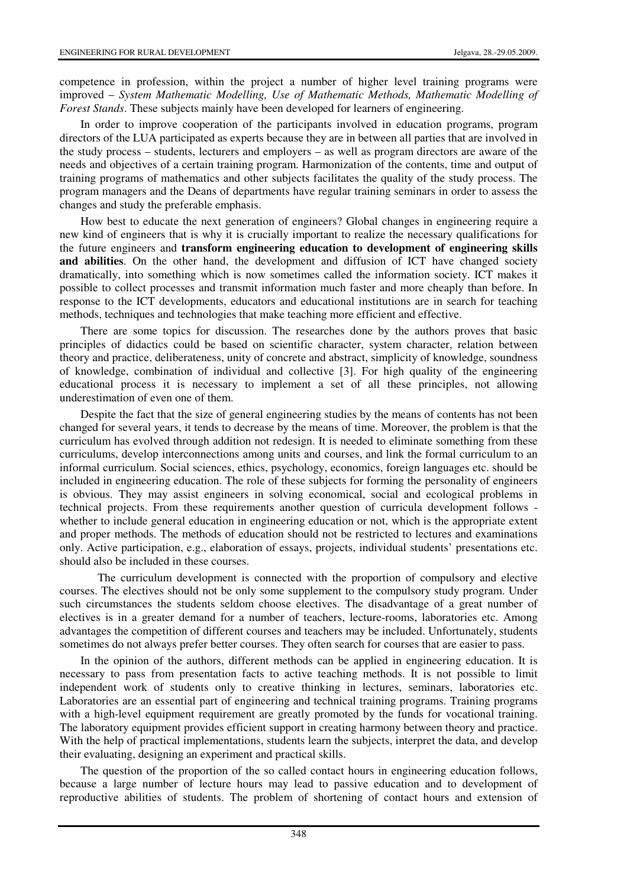competence in profession, within the project a number of higher level training programs were improved – *System Mathematic Modelling, Use of Mathematic Methods, Mathematic Modelling of Forest Stands*. These subjects mainly have been developed for learners of engineering.

In order to improve cooperation of the participants involved in education programs, program directors of the LUA participated as experts because they are in between all parties that are involved in the study process – students, lecturers and employers – as well as program directors are aware of the needs and objectives of a certain training program. Harmonization of the contents, time and output of training programs of mathematics and other subjects facilitates the quality of the study process. The program managers and the Deans of departments have regular training seminars in order to assess the changes and study the preferable emphasis.

How best to educate the next generation of engineers? Global changes in engineering require a new kind of engineers that is why it is crucially important to realize the necessary qualifications for the future engineers and **transform engineering education to development of engineering skills and abilities**. On the other hand, the development and diffusion of ICT have changed society dramatically, into something which is now sometimes called the information society. ICT makes it possible to collect processes and transmit information much faster and more cheaply than before. In response to the ICT developments, educators and educational institutions are in search for teaching methods, techniques and technologies that make teaching more efficient and effective.

There are some topics for discussion. The researches done by the authors proves that basic principles of didactics could be based on scientific character, system character, relation between theory and practice, deliberateness, unity of concrete and abstract, simplicity of knowledge, soundness of knowledge, combination of individual and collective [3]. For high quality of the engineering educational process it is necessary to implement a set of all these principles, not allowing underestimation of even one of them.

Despite the fact that the size of general engineering studies by the means of contents has not been changed for several years, it tends to decrease by the means of time. Moreover, the problem is that the curriculum has evolved through addition not redesign. It is needed to eliminate something from these curriculums, develop interconnections among units and courses, and link the formal curriculum to an informal curriculum. Social sciences, ethics, psychology, economics, foreign languages etc. should be included in engineering education. The role of these subjects for forming the personality of engineers is obvious. They may assist engineers in solving economical, social and ecological problems in technical projects. From these requirements another question of curricula development follows whether to include general education in engineering education or not, which is the appropriate extent and proper methods. The methods of education should not be restricted to lectures and examinations only. Active participation, e.g., elaboration of essays, projects, individual students' presentations etc. should also be included in these courses.

The curriculum development is connected with the proportion of compulsory and elective courses. The electives should not be only some supplement to the compulsory study program. Under such circumstances the students seldom choose electives. The disadvantage of a great number of electives is in a greater demand for a number of teachers, lecture-rooms, laboratories etc. Among advantages the competition of different courses and teachers may be included. Unfortunately, students sometimes do not always prefer better courses. They often search for courses that are easier to pass.

In the opinion of the authors, different methods can be applied in engineering education. It is necessary to pass from presentation facts to active teaching methods. It is not possible to limit independent work of students only to creative thinking in lectures, seminars, laboratories etc. Laboratories are an essential part of engineering and technical training programs. Training programs with a high-level equipment requirement are greatly promoted by the funds for vocational training. The laboratory equipment provides efficient support in creating harmony between theory and practice. With the help of practical implementations, students learn the subjects, interpret the data, and develop their evaluating, designing an experiment and practical skills.

The question of the proportion of the so called contact hours in engineering education follows, because a large number of lecture hours may lead to passive education and to development of reproductive abilities of students. The problem of shortening of contact hours and extension of